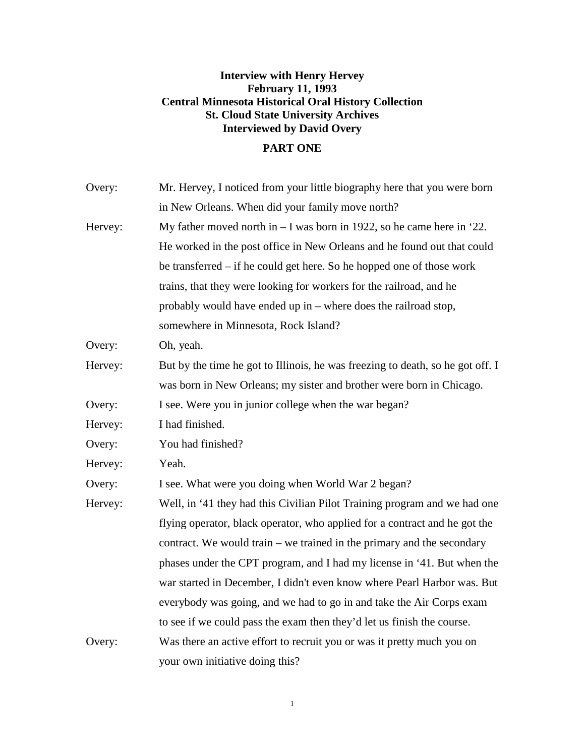# **Interview with Henry Hervey February 11, 1993 Central Minnesota Historical Oral History Collection St. Cloud State University Archives Interviewed by David Overy**

## **PART ONE**

| Overy:  | Mr. Hervey, I noticed from your little biography here that you were born       |
|---------|--------------------------------------------------------------------------------|
|         | in New Orleans. When did your family move north?                               |
| Hervey: | My father moved north in $- I$ was born in 1922, so he came here in '22.       |
|         | He worked in the post office in New Orleans and he found out that could        |
|         | be transferred – if he could get here. So he hopped one of those work          |
|         | trains, that they were looking for workers for the railroad, and he            |
|         | probably would have ended up in – where does the railroad stop,                |
|         | somewhere in Minnesota, Rock Island?                                           |
| Overy:  | Oh, yeah.                                                                      |
| Hervey: | But by the time he got to Illinois, he was freezing to death, so he got off. I |
|         | was born in New Orleans; my sister and brother were born in Chicago.           |
| Overy:  | I see. Were you in junior college when the war began?                          |
| Hervey: | I had finished.                                                                |
| Overy:  | You had finished?                                                              |
| Hervey: | Yeah.                                                                          |
| Overy:  | I see. What were you doing when World War 2 began?                             |
| Hervey: | Well, in '41 they had this Civilian Pilot Training program and we had one      |
|         | flying operator, black operator, who applied for a contract and he got the     |
|         | contract. We would train – we trained in the primary and the secondary         |
|         | phases under the CPT program, and I had my license in '41. But when the        |
|         | war started in December, I didn't even know where Pearl Harbor was. But        |
|         | everybody was going, and we had to go in and take the Air Corps exam           |
|         | to see if we could pass the exam then they'd let us finish the course.         |
| Overy:  | Was there an active effort to recruit you or was it pretty much you on         |
|         | your own initiative doing this?                                                |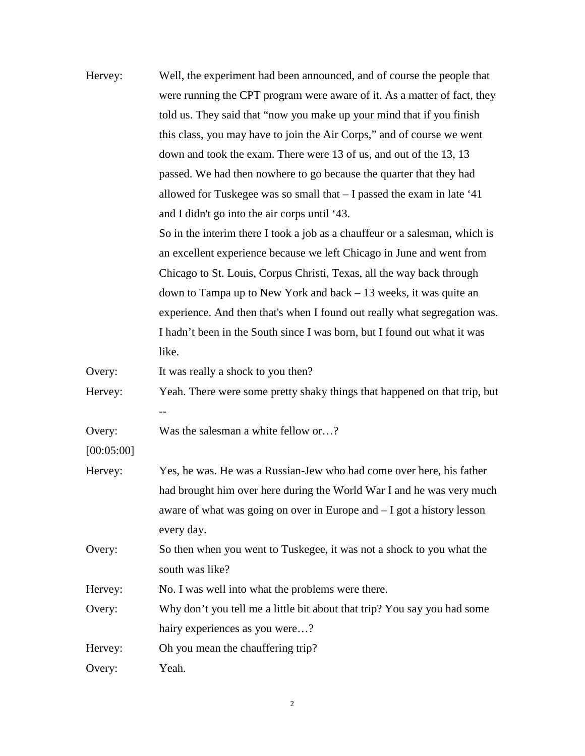| Hervey:    | Well, the experiment had been announced, and of course the people that      |
|------------|-----------------------------------------------------------------------------|
|            | were running the CPT program were aware of it. As a matter of fact, they    |
|            | told us. They said that "now you make up your mind that if you finish       |
|            | this class, you may have to join the Air Corps," and of course we went      |
|            | down and took the exam. There were 13 of us, and out of the 13, 13          |
|            | passed. We had then nowhere to go because the quarter that they had         |
|            | allowed for Tuskegee was so small that $-$ I passed the exam in late '41    |
|            | and I didn't go into the air corps until '43.                               |
|            | So in the interim there I took a job as a chauffeur or a salesman, which is |
|            | an excellent experience because we left Chicago in June and went from       |
|            | Chicago to St. Louis, Corpus Christi, Texas, all the way back through       |
|            | down to Tampa up to New York and back $-13$ weeks, it was quite an          |
|            | experience. And then that's when I found out really what segregation was.   |
|            | I hadn't been in the South since I was born, but I found out what it was    |
|            | like.                                                                       |
| Overy:     | It was really a shock to you then?                                          |
| Hervey:    | Yeah. There were some pretty shaky things that happened on that trip, but   |
|            |                                                                             |
| Overy:     | Was the salesman a white fellow or?                                         |
| [00:05:00] |                                                                             |
| Hervey:    | Yes, he was. He was a Russian-Jew who had come over here, his father        |
|            | had brought him over here during the World War I and he was very much       |
|            | aware of what was going on over in Europe and $-I$ got a history lesson     |
|            | every day.                                                                  |
| Overy:     | So then when you went to Tuskegee, it was not a shock to you what the       |
|            | south was like?                                                             |
| Hervey:    | No. I was well into what the problems were there.                           |
| Overy:     | Why don't you tell me a little bit about that trip? You say you had some    |
|            | hairy experiences as you were?                                              |
| Hervey:    | Oh you mean the chauffering trip?                                           |
| Overy:     | Yeah.                                                                       |
|            |                                                                             |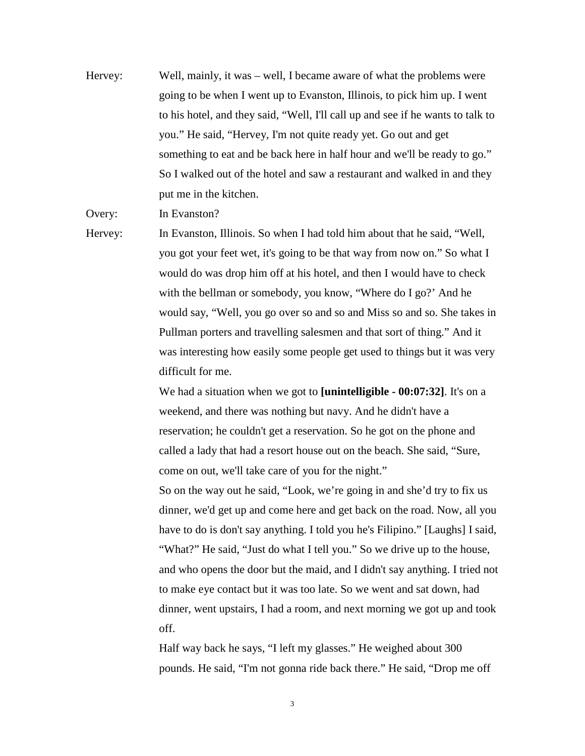Hervey: Well, mainly, it was – well, I became aware of what the problems were going to be when I went up to Evanston, Illinois, to pick him up. I went to his hotel, and they said, "Well, I'll call up and see if he wants to talk to you." He said, "Hervey, I'm not quite ready yet. Go out and get something to eat and be back here in half hour and we'll be ready to go." So I walked out of the hotel and saw a restaurant and walked in and they put me in the kitchen.

Overy: In Evanston?

Hervey: In Evanston, Illinois. So when I had told him about that he said, "Well, you got your feet wet, it's going to be that way from now on." So what I would do was drop him off at his hotel, and then I would have to check with the bellman or somebody, you know, "Where do I go?' And he would say, "Well, you go over so and so and Miss so and so. She takes in Pullman porters and travelling salesmen and that sort of thing." And it was interesting how easily some people get used to things but it was very difficult for me.

> We had a situation when we got to **[unintelligible - 00:07:32]**. It's on a weekend, and there was nothing but navy. And he didn't have a reservation; he couldn't get a reservation. So he got on the phone and called a lady that had a resort house out on the beach. She said, "Sure, come on out, we'll take care of you for the night."

So on the way out he said, "Look, we're going in and she'd try to fix us dinner, we'd get up and come here and get back on the road. Now, all you have to do is don't say anything. I told you he's Filipino." [Laughs] I said, "What?" He said, "Just do what I tell you." So we drive up to the house, and who opens the door but the maid, and I didn't say anything. I tried not to make eye contact but it was too late. So we went and sat down, had dinner, went upstairs, I had a room, and next morning we got up and took off.

Half way back he says, "I left my glasses." He weighed about 300 pounds. He said, "I'm not gonna ride back there." He said, "Drop me off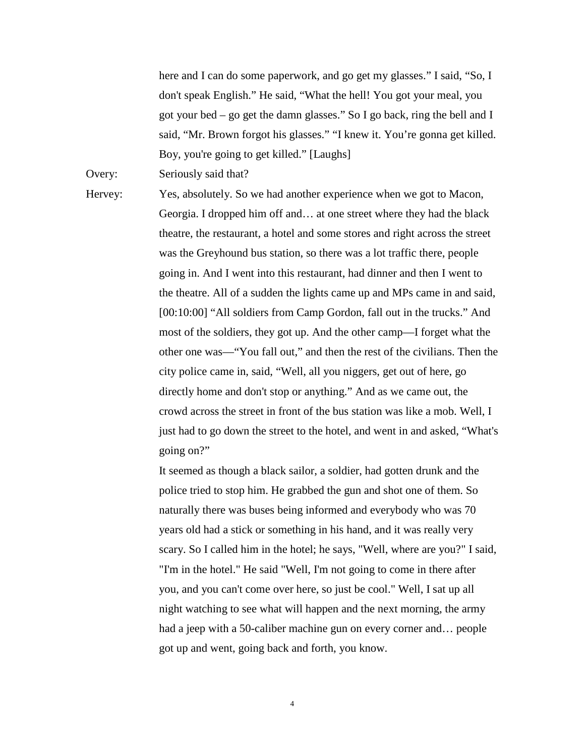here and I can do some paperwork, and go get my glasses." I said, "So, I don't speak English." He said, "What the hell! You got your meal, you got your bed – go get the damn glasses." So I go back, ring the bell and I said, "Mr. Brown forgot his glasses." "I knew it. You're gonna get killed. Boy, you're going to get killed." [Laughs]

Overy: Seriously said that?

Hervey: Yes, absolutely. So we had another experience when we got to Macon, Georgia. I dropped him off and… at one street where they had the black theatre, the restaurant, a hotel and some stores and right across the street was the Greyhound bus station, so there was a lot traffic there, people going in. And I went into this restaurant, had dinner and then I went to the theatre. All of a sudden the lights came up and MPs came in and said, [00:10:00] "All soldiers from Camp Gordon, fall out in the trucks." And most of the soldiers, they got up. And the other camp—I forget what the other one was—"You fall out," and then the rest of the civilians. Then the city police came in, said, "Well, all you niggers, get out of here, go directly home and don't stop or anything." And as we came out, the crowd across the street in front of the bus station was like a mob. Well, I just had to go down the street to the hotel, and went in and asked, "What's going on?"

> It seemed as though a black sailor, a soldier, had gotten drunk and the police tried to stop him. He grabbed the gun and shot one of them. So naturally there was buses being informed and everybody who was 70 years old had a stick or something in his hand, and it was really very scary. So I called him in the hotel; he says, "Well, where are you?" I said, "I'm in the hotel." He said "Well, I'm not going to come in there after you, and you can't come over here, so just be cool." Well, I sat up all night watching to see what will happen and the next morning, the army had a jeep with a 50-caliber machine gun on every corner and... people got up and went, going back and forth, you know.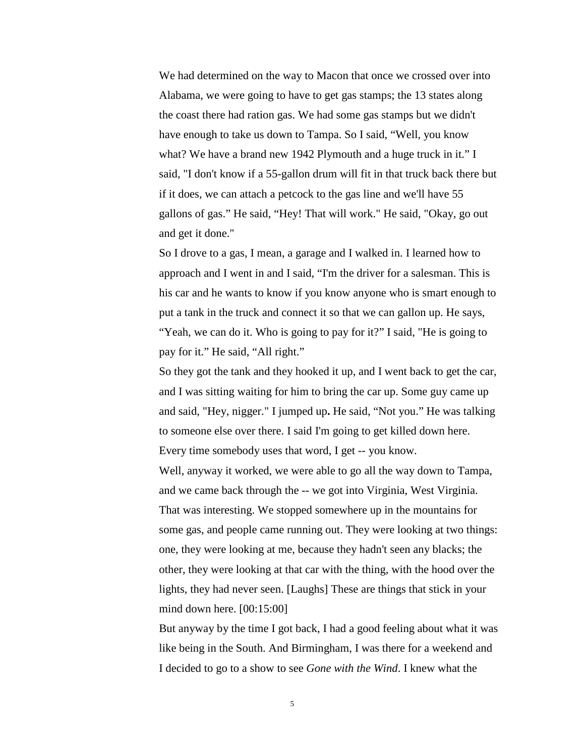We had determined on the way to Macon that once we crossed over into Alabama, we were going to have to get gas stamps; the 13 states along the coast there had ration gas. We had some gas stamps but we didn't have enough to take us down to Tampa. So I said, "Well, you know what? We have a brand new 1942 Plymouth and a huge truck in it." I said, "I don't know if a 55-gallon drum will fit in that truck back there but if it does, we can attach a petcock to the gas line and we'll have 55 gallons of gas." He said, "Hey! That will work." He said, "Okay, go out and get it done."

So I drove to a gas, I mean, a garage and I walked in. I learned how to approach and I went in and I said, "I'm the driver for a salesman. This is his car and he wants to know if you know anyone who is smart enough to put a tank in the truck and connect it so that we can gallon up. He says, "Yeah, we can do it. Who is going to pay for it?" I said, "He is going to pay for it." He said, "All right."

So they got the tank and they hooked it up, and I went back to get the car, and I was sitting waiting for him to bring the car up. Some guy came up and said, "Hey, nigger." I jumped up**.** He said, "Not you." He was talking to someone else over there. I said I'm going to get killed down here. Every time somebody uses that word, I get -- you know.

 Well, anyway it worked, we were able to go all the way down to Tampa, and we came back through the -- we got into Virginia, West Virginia. That was interesting. We stopped somewhere up in the mountains for some gas, and people came running out. They were looking at two things: one, they were looking at me, because they hadn't seen any blacks; the other, they were looking at that car with the thing, with the hood over the lights, they had never seen. [Laughs] These are things that stick in your mind down here. [00:15:00]

But anyway by the time I got back, I had a good feeling about what it was like being in the South. And Birmingham, I was there for a weekend and I decided to go to a show to see *Gone with the Wind*. I knew what the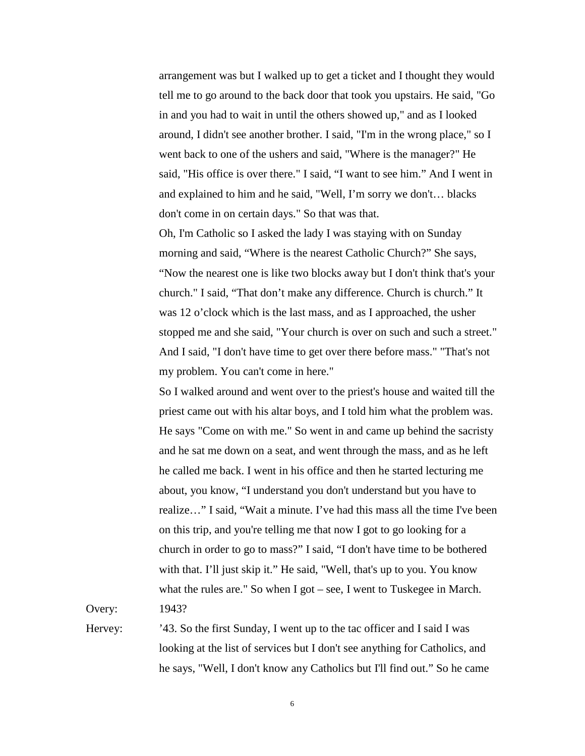arrangement was but I walked up to get a ticket and I thought they would tell me to go around to the back door that took you upstairs. He said, "Go in and you had to wait in until the others showed up," and as I looked around, I didn't see another brother. I said, "I'm in the wrong place," so I went back to one of the ushers and said, "Where is the manager?" He said, "His office is over there." I said, "I want to see him." And I went in and explained to him and he said, "Well, I'm sorry we don't… blacks don't come in on certain days." So that was that.

 Oh, I'm Catholic so I asked the lady I was staying with on Sunday morning and said, "Where is the nearest Catholic Church?" She says, "Now the nearest one is like two blocks away but I don't think that's your church." I said, "That don't make any difference. Church is church." It was 12 o'clock which is the last mass, and as I approached, the usher stopped me and she said, "Your church is over on such and such a street." And I said, "I don't have time to get over there before mass." "That's not my problem. You can't come in here."

So I walked around and went over to the priest's house and waited till the priest came out with his altar boys, and I told him what the problem was. He says "Come on with me." So went in and came up behind the sacristy and he sat me down on a seat, and went through the mass, and as he left he called me back. I went in his office and then he started lecturing me about, you know, "I understand you don't understand but you have to realize…" I said, "Wait a minute. I've had this mass all the time I've been on this trip, and you're telling me that now I got to go looking for a church in order to go to mass?" I said, "I don't have time to be bothered with that. I'll just skip it." He said, "Well, that's up to you. You know what the rules are." So when I got – see, I went to Tuskegee in March.

Overy: 1943?

Hervey: '43. So the first Sunday, I went up to the tac officer and I said I was looking at the list of services but I don't see anything for Catholics, and he says, "Well, I don't know any Catholics but I'll find out." So he came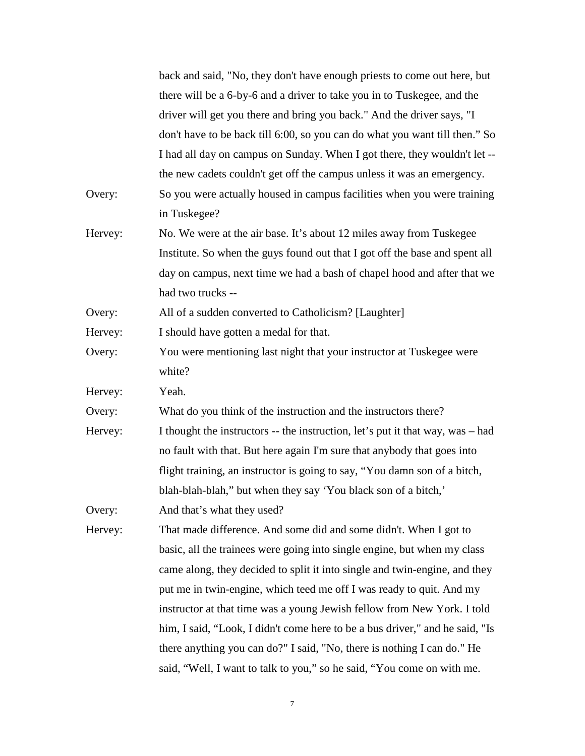|         | back and said, "No, they don't have enough priests to come out here, but       |
|---------|--------------------------------------------------------------------------------|
|         | there will be a 6-by-6 and a driver to take you in to Tuskegee, and the        |
|         | driver will get you there and bring you back." And the driver says, "I         |
|         | don't have to be back till 6:00, so you can do what you want till then." So    |
|         | I had all day on campus on Sunday. When I got there, they wouldn't let --      |
|         | the new cadets couldn't get off the campus unless it was an emergency.         |
| Overy:  | So you were actually housed in campus facilities when you were training        |
|         | in Tuskegee?                                                                   |
| Hervey: | No. We were at the air base. It's about 12 miles away from Tuskegee            |
|         | Institute. So when the guys found out that I got off the base and spent all    |
|         | day on campus, next time we had a bash of chapel hood and after that we        |
|         | had two trucks --                                                              |
| Overy:  | All of a sudden converted to Catholicism? [Laughter]                           |
| Hervey: | I should have gotten a medal for that.                                         |
| Overy:  | You were mentioning last night that your instructor at Tuskegee were           |
|         | white?                                                                         |
| Hervey: | Yeah.                                                                          |
| Overy:  | What do you think of the instruction and the instructors there?                |
| Hervey: | I thought the instructors -- the instruction, let's put it that way, was – had |
|         | no fault with that. But here again I'm sure that anybody that goes into        |
|         | flight training, an instructor is going to say, "You damn son of a bitch,      |
|         | blah-blah-blah," but when they say 'You black son of a bitch,'                 |
| Overy:  | And that's what they used?                                                     |
| Hervey: | That made difference. And some did and some didn't. When I got to              |
|         | basic, all the trainees were going into single engine, but when my class       |
|         | came along, they decided to split it into single and twin-engine, and they     |
|         | put me in twin-engine, which teed me off I was ready to quit. And my           |
|         | instructor at that time was a young Jewish fellow from New York. I told        |
|         | him, I said, "Look, I didn't come here to be a bus driver," and he said, "Is   |
|         | there anything you can do?" I said, "No, there is nothing I can do." He        |
|         | said, "Well, I want to talk to you," so he said, "You come on with me.         |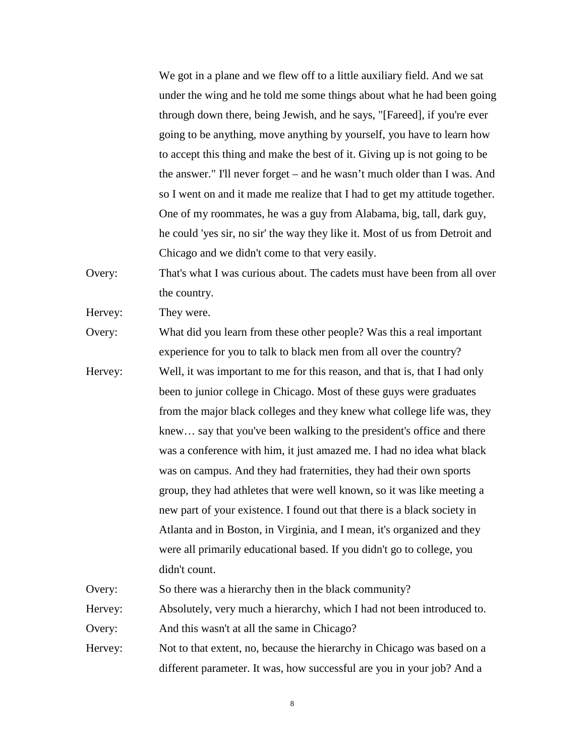We got in a plane and we flew off to a little auxiliary field. And we sat under the wing and he told me some things about what he had been going through down there, being Jewish, and he says, "[Fareed], if you're ever going to be anything, move anything by yourself, you have to learn how to accept this thing and make the best of it. Giving up is not going to be the answer." I'll never forget – and he wasn't much older than I was. And so I went on and it made me realize that I had to get my attitude together. One of my roommates, he was a guy from Alabama, big, tall, dark guy, he could 'yes sir, no sir' the way they like it. Most of us from Detroit and Chicago and we didn't come to that very easily.

Overy: That's what I was curious about. The cadets must have been from all over the country.

Hervey: They were.

Overy: What did you learn from these other people? Was this a real important experience for you to talk to black men from all over the country?

Hervey: Well, it was important to me for this reason, and that is, that I had only been to junior college in Chicago. Most of these guys were graduates from the major black colleges and they knew what college life was, they knew… say that you've been walking to the president's office and there was a conference with him, it just amazed me. I had no idea what black was on campus. And they had fraternities, they had their own sports group, they had athletes that were well known, so it was like meeting a new part of your existence. I found out that there is a black society in Atlanta and in Boston, in Virginia, and I mean, it's organized and they were all primarily educational based. If you didn't go to college, you didn't count.

Overy: So there was a hierarchy then in the black community?

Hervey: Absolutely, very much a hierarchy, which I had not been introduced to. Overy: And this wasn't at all the same in Chicago?

Hervey: Not to that extent, no, because the hierarchy in Chicago was based on a different parameter. It was, how successful are you in your job? And a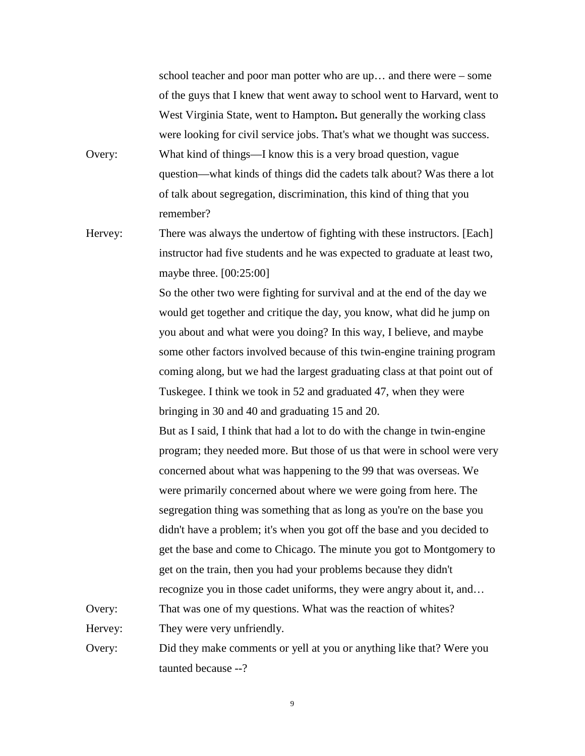school teacher and poor man potter who are up… and there were – some of the guys that I knew that went away to school went to Harvard, went to West Virginia State, went to Hampton**.** But generally the working class were looking for civil service jobs. That's what we thought was success. Overy: What kind of things—I know this is a very broad question, vague question—what kinds of things did the cadets talk about? Was there a lot of talk about segregation, discrimination, this kind of thing that you remember?

Hervey: There was always the undertow of fighting with these instructors. [Each] instructor had five students and he was expected to graduate at least two, maybe three. [00:25:00]

> So the other two were fighting for survival and at the end of the day we would get together and critique the day, you know, what did he jump on you about and what were you doing? In this way, I believe, and maybe some other factors involved because of this twin-engine training program coming along, but we had the largest graduating class at that point out of Tuskegee. I think we took in 52 and graduated 47, when they were bringing in 30 and 40 and graduating 15 and 20.

But as I said, I think that had a lot to do with the change in twin-engine program; they needed more. But those of us that were in school were very concerned about what was happening to the 99 that was overseas. We were primarily concerned about where we were going from here. The segregation thing was something that as long as you're on the base you didn't have a problem; it's when you got off the base and you decided to get the base and come to Chicago. The minute you got to Montgomery to get on the train, then you had your problems because they didn't recognize you in those cadet uniforms, they were angry about it, and… Overy: That was one of my questions. What was the reaction of whites?

Hervey: They were very unfriendly.

Overy: Did they make comments or yell at you or anything like that? Were you taunted because --?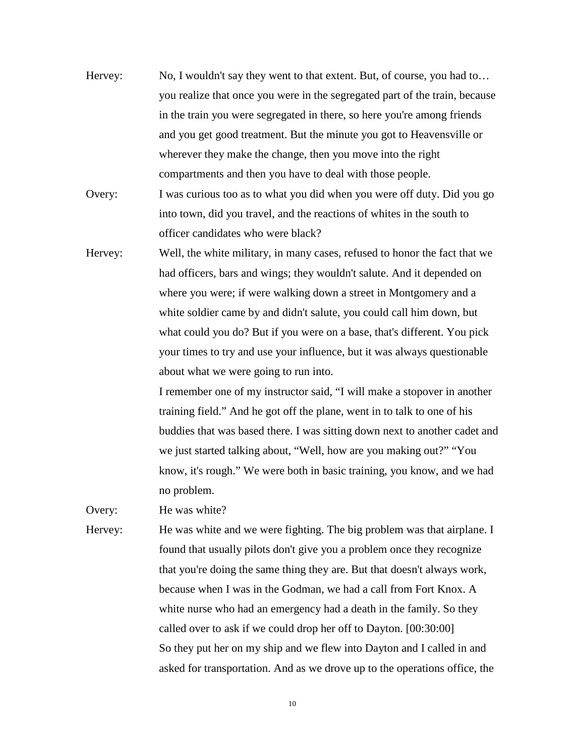- Hervey: No, I wouldn't say they went to that extent. But, of course, you had to… you realize that once you were in the segregated part of the train, because in the train you were segregated in there, so here you're among friends and you get good treatment. But the minute you got to Heavensville or wherever they make the change, then you move into the right compartments and then you have to deal with those people.
- Overy: I was curious too as to what you did when you were off duty. Did you go into town, did you travel, and the reactions of whites in the south to officer candidates who were black?
- Hervey: Well, the white military, in many cases, refused to honor the fact that we had officers, bars and wings; they wouldn't salute. And it depended on where you were; if were walking down a street in Montgomery and a white soldier came by and didn't salute, you could call him down, but what could you do? But if you were on a base, that's different. You pick your times to try and use your influence, but it was always questionable about what we were going to run into.

I remember one of my instructor said, "I will make a stopover in another training field." And he got off the plane, went in to talk to one of his buddies that was based there. I was sitting down next to another cadet and we just started talking about, "Well, how are you making out?" "You know, it's rough." We were both in basic training, you know, and we had no problem.

Overy: He was white?

Hervey: He was white and we were fighting. The big problem was that airplane. I found that usually pilots don't give you a problem once they recognize that you're doing the same thing they are. But that doesn't always work, because when I was in the Godman, we had a call from Fort Knox. A white nurse who had an emergency had a death in the family. So they called over to ask if we could drop her off to Dayton. [00:30:00] So they put her on my ship and we flew into Dayton and I called in and asked for transportation. And as we drove up to the operations office, the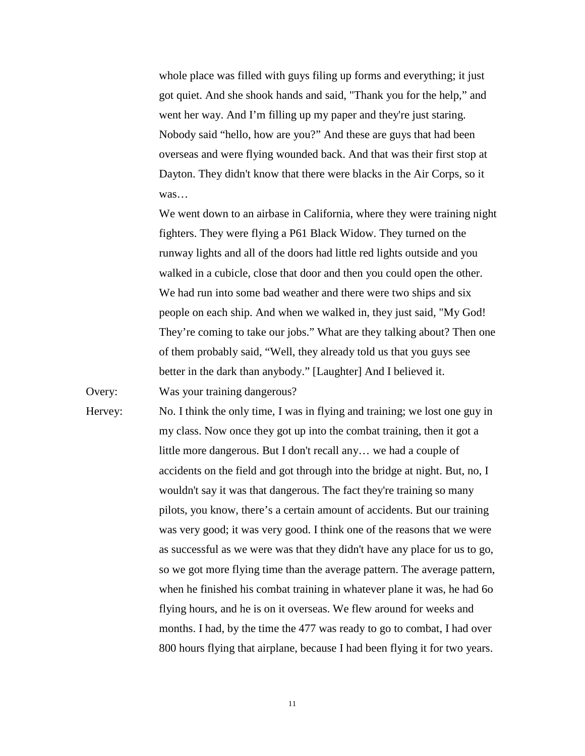whole place was filled with guys filing up forms and everything; it just got quiet. And she shook hands and said, "Thank you for the help," and went her way. And I'm filling up my paper and they're just staring. Nobody said "hello, how are you?" And these are guys that had been overseas and were flying wounded back. And that was their first stop at Dayton. They didn't know that there were blacks in the Air Corps, so it was…

We went down to an airbase in California, where they were training night fighters. They were flying a P61 Black Widow. They turned on the runway lights and all of the doors had little red lights outside and you walked in a cubicle, close that door and then you could open the other. We had run into some bad weather and there were two ships and six people on each ship. And when we walked in, they just said, "My God! They're coming to take our jobs." What are they talking about? Then one of them probably said, "Well, they already told us that you guys see better in the dark than anybody." [Laughter] And I believed it. Overy: Was your training dangerous?

Hervey: No. I think the only time, I was in flying and training; we lost one guy in my class. Now once they got up into the combat training, then it got a little more dangerous. But I don't recall any… we had a couple of accidents on the field and got through into the bridge at night. But, no, I wouldn't say it was that dangerous. The fact they're training so many pilots, you know, there's a certain amount of accidents. But our training was very good; it was very good. I think one of the reasons that we were as successful as we were was that they didn't have any place for us to go, so we got more flying time than the average pattern. The average pattern, when he finished his combat training in whatever plane it was, he had 6o flying hours, and he is on it overseas. We flew around for weeks and months. I had, by the time the 477 was ready to go to combat, I had over 800 hours flying that airplane, because I had been flying it for two years.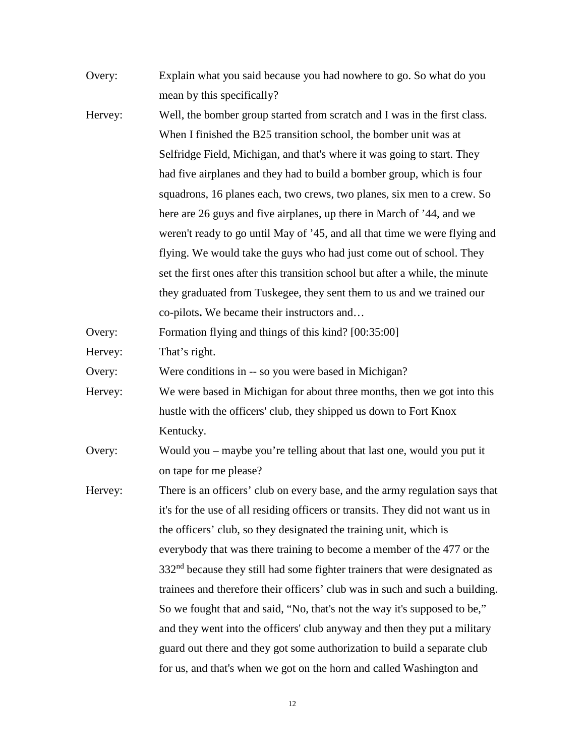| Overy:  | Explain what you said because you had nowhere to go. So what do you                    |
|---------|----------------------------------------------------------------------------------------|
|         | mean by this specifically?                                                             |
| Hervey: | Well, the bomber group started from scratch and I was in the first class.              |
|         | When I finished the B25 transition school, the bomber unit was at                      |
|         | Selfridge Field, Michigan, and that's where it was going to start. They                |
|         | had five airplanes and they had to build a bomber group, which is four                 |
|         | squadrons, 16 planes each, two crews, two planes, six men to a crew. So                |
|         | here are 26 guys and five airplanes, up there in March of '44, and we                  |
|         | weren't ready to go until May of '45, and all that time we were flying and             |
|         | flying. We would take the guys who had just come out of school. They                   |
|         | set the first ones after this transition school but after a while, the minute          |
|         | they graduated from Tuskegee, they sent them to us and we trained our                  |
|         | co-pilots. We became their instructors and                                             |
| Overy:  | Formation flying and things of this kind? [00:35:00]                                   |
| Hervey: | That's right.                                                                          |
| Overy:  | Were conditions in -- so you were based in Michigan?                                   |
| Hervey: | We were based in Michigan for about three months, then we got into this                |
|         | hustle with the officers' club, they shipped us down to Fort Knox                      |
|         | Kentucky.                                                                              |
| Overy:  | Would you – maybe you're telling about that last one, would you put it                 |
|         | on tape for me please?                                                                 |
| Hervey: | There is an officers' club on every base, and the army regulation says that            |
|         | it's for the use of all residing officers or transits. They did not want us in         |
|         | the officers' club, so they designated the training unit, which is                     |
|         | everybody that was there training to become a member of the 477 or the                 |
|         | 332 <sup>nd</sup> because they still had some fighter trainers that were designated as |
|         | trainees and therefore their officers' club was in such and such a building.           |
|         | So we fought that and said, "No, that's not the way it's supposed to be,"              |
|         | and they went into the officers' club anyway and then they put a military              |
|         | guard out there and they got some authorization to build a separate club               |
|         | for us, and that's when we got on the horn and called Washington and                   |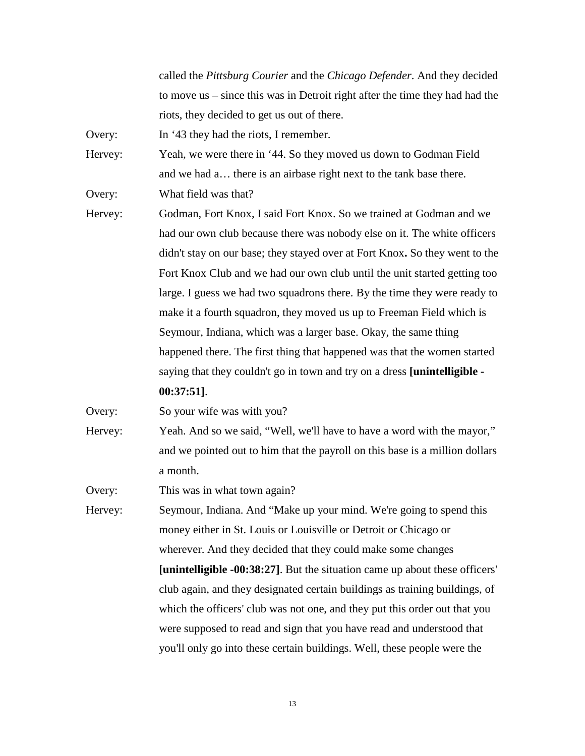called the *Pittsburg Courier* and the *Chicago Defender*. And they decided to move us – since this was in Detroit right after the time they had had the riots, they decided to get us out of there.

Overy: In '43 they had the riots, I remember.

Hervey: Yeah, we were there in '44. So they moved us down to Godman Field and we had a… there is an airbase right next to the tank base there.

Overy: What field was that?

Hervey: Godman, Fort Knox, I said Fort Knox. So we trained at Godman and we had our own club because there was nobody else on it. The white officers didn't stay on our base; they stayed over at Fort Knox**.** So they went to the Fort Knox Club and we had our own club until the unit started getting too large. I guess we had two squadrons there. By the time they were ready to make it a fourth squadron, they moved us up to Freeman Field which is Seymour, Indiana, which was a larger base. Okay, the same thing happened there. The first thing that happened was that the women started saying that they couldn't go in town and try on a dress **[unintelligible -** 

#### **00:37:51]**.

Overy: So your wife was with you?

Hervey: Yeah. And so we said, "Well, we'll have to have a word with the mayor," and we pointed out to him that the payroll on this base is a million dollars a month.

Overy: This was in what town again?

Hervey: Seymour, Indiana. And "Make up your mind. We're going to spend this money either in St. Louis or Louisville or Detroit or Chicago or wherever. And they decided that they could make some changes **[unintelligible -00:38:27]**. But the situation came up about these officers' club again, and they designated certain buildings as training buildings, of which the officers' club was not one, and they put this order out that you were supposed to read and sign that you have read and understood that you'll only go into these certain buildings. Well, these people were the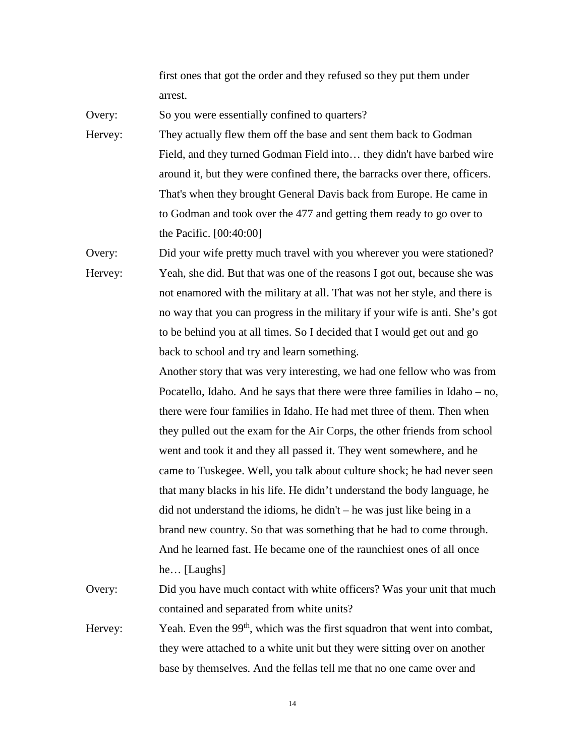first ones that got the order and they refused so they put them under arrest.

Overy: So you were essentially confined to quarters?

Hervey: They actually flew them off the base and sent them back to Godman Field, and they turned Godman Field into… they didn't have barbed wire around it, but they were confined there, the barracks over there, officers. That's when they brought General Davis back from Europe. He came in to Godman and took over the 477 and getting them ready to go over to the Pacific. [00:40:00]

Overy: Did your wife pretty much travel with you wherever you were stationed? Hervey: Yeah, she did. But that was one of the reasons I got out, because she was not enamored with the military at all. That was not her style, and there is no way that you can progress in the military if your wife is anti. She's got to be behind you at all times. So I decided that I would get out and go back to school and try and learn something.

> Another story that was very interesting, we had one fellow who was from Pocatello, Idaho. And he says that there were three families in Idaho – no, there were four families in Idaho. He had met three of them. Then when they pulled out the exam for the Air Corps, the other friends from school went and took it and they all passed it. They went somewhere, and he came to Tuskegee. Well, you talk about culture shock; he had never seen that many blacks in his life. He didn't understand the body language, he did not understand the idioms, he didn't – he was just like being in a brand new country. So that was something that he had to come through. And he learned fast. He became one of the raunchiest ones of all once he… [Laughs]

Overy: Did you have much contact with white officers? Was your unit that much contained and separated from white units?

Hervey: Yeah. Even the  $99<sup>th</sup>$ , which was the first squadron that went into combat, they were attached to a white unit but they were sitting over on another base by themselves. And the fellas tell me that no one came over and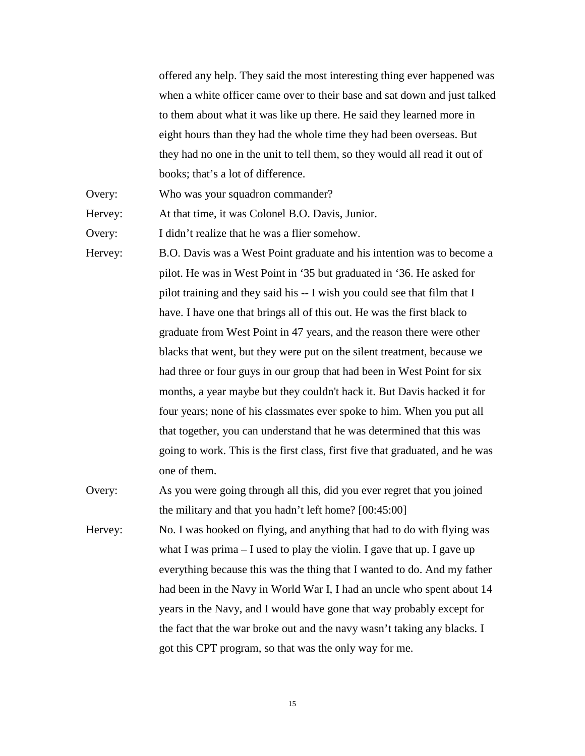offered any help. They said the most interesting thing ever happened was when a white officer came over to their base and sat down and just talked to them about what it was like up there. He said they learned more in eight hours than they had the whole time they had been overseas. But they had no one in the unit to tell them, so they would all read it out of books; that's a lot of difference.

Overy: Who was your squadron commander?

Hervey: At that time, it was Colonel B.O. Davis, Junior.

Overy: I didn't realize that he was a flier somehow.

Hervey: B.O. Davis was a West Point graduate and his intention was to become a pilot. He was in West Point in '35 but graduated in '36. He asked for pilot training and they said his -- I wish you could see that film that I have. I have one that brings all of this out. He was the first black to graduate from West Point in 47 years, and the reason there were other blacks that went, but they were put on the silent treatment, because we had three or four guys in our group that had been in West Point for six months, a year maybe but they couldn't hack it. But Davis hacked it for four years; none of his classmates ever spoke to him. When you put all that together, you can understand that he was determined that this was going to work. This is the first class, first five that graduated, and he was one of them.

- Overy: As you were going through all this, did you ever regret that you joined the military and that you hadn't left home? [00:45:00]
- Hervey: No. I was hooked on flying, and anything that had to do with flying was what I was prima  $-$  I used to play the violin. I gave that up. I gave up everything because this was the thing that I wanted to do. And my father had been in the Navy in World War I, I had an uncle who spent about 14 years in the Navy, and I would have gone that way probably except for the fact that the war broke out and the navy wasn't taking any blacks. I got this CPT program, so that was the only way for me.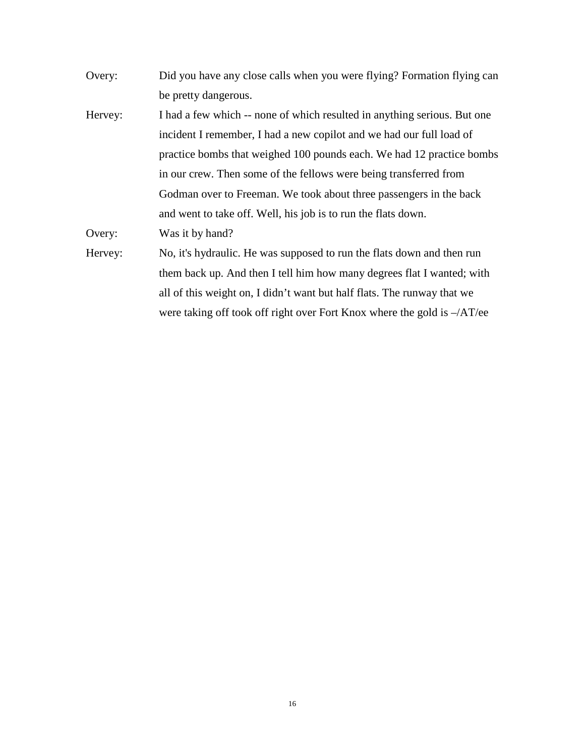- Overy: Did you have any close calls when you were flying? Formation flying can be pretty dangerous.
- Hervey: I had a few which -- none of which resulted in anything serious. But one incident I remember, I had a new copilot and we had our full load of practice bombs that weighed 100 pounds each. We had 12 practice bombs in our crew. Then some of the fellows were being transferred from Godman over to Freeman. We took about three passengers in the back and went to take off. Well, his job is to run the flats down.

Overy: Was it by hand?

Hervey: No, it's hydraulic. He was supposed to run the flats down and then run them back up. And then I tell him how many degrees flat I wanted; with all of this weight on, I didn't want but half flats. The runway that we were taking off took off right over Fort Knox where the gold is –/AT/ee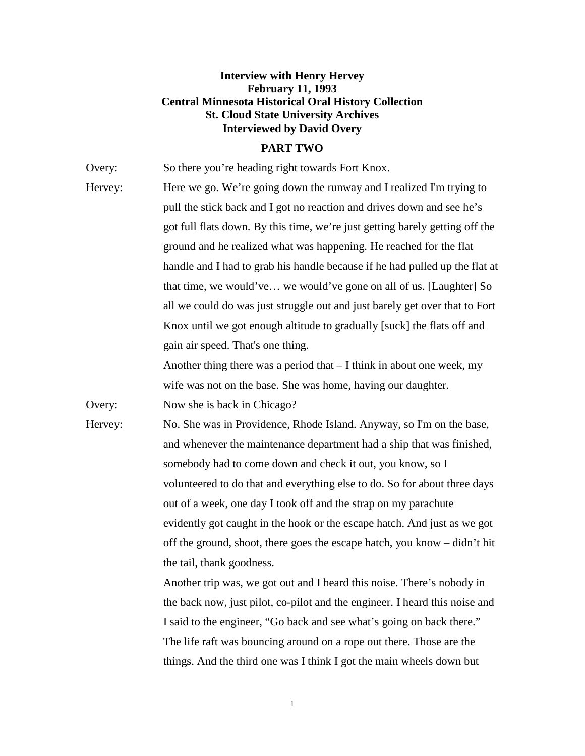### **Interview with Henry Hervey February 11, 1993 Central Minnesota Historical Oral History Collection St. Cloud State University Archives Interviewed by David Overy**

#### **PART TWO**

Overy: So there you're heading right towards Fort Knox. Hervey: Here we go. We're going down the runway and I realized I'm trying to pull the stick back and I got no reaction and drives down and see he's got full flats down. By this time, we're just getting barely getting off the ground and he realized what was happening. He reached for the flat handle and I had to grab his handle because if he had pulled up the flat at that time, we would've… we would've gone on all of us. [Laughter] So all we could do was just struggle out and just barely get over that to Fort Knox until we got enough altitude to gradually [suck] the flats off and gain air speed. That's one thing. Another thing there was a period that  $-1$  think in about one week, my wife was not on the base. She was home, having our daughter. Overy: Now she is back in Chicago? Hervey: No. She was in Providence, Rhode Island. Anyway, so I'm on the base, and whenever the maintenance department had a ship that was finished, somebody had to come down and check it out, you know, so I volunteered to do that and everything else to do. So for about three days out of a week, one day I took off and the strap on my parachute evidently got caught in the hook or the escape hatch. And just as we got off the ground, shoot, there goes the escape hatch, you know – didn't hit the tail, thank goodness. Another trip was, we got out and I heard this noise. There's nobody in

the back now, just pilot, co-pilot and the engineer. I heard this noise and I said to the engineer, "Go back and see what's going on back there." The life raft was bouncing around on a rope out there. Those are the things. And the third one was I think I got the main wheels down but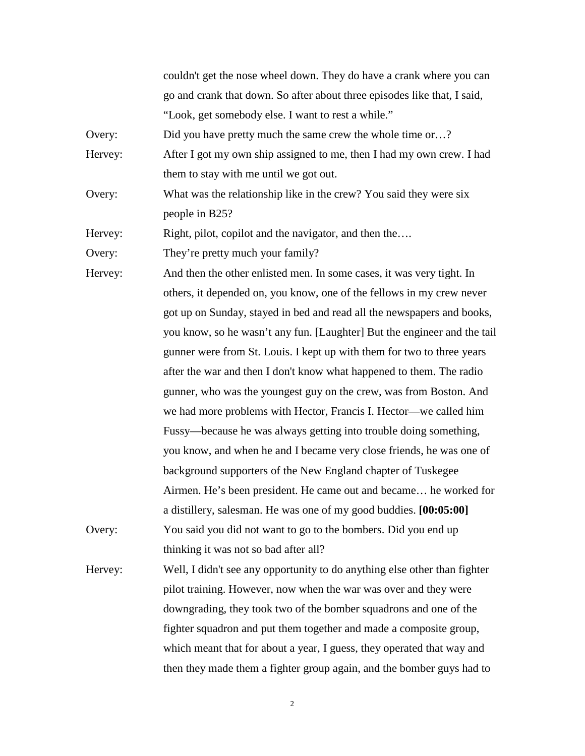couldn't get the nose wheel down. They do have a crank where you can go and crank that down. So after about three episodes like that, I said, "Look, get somebody else. I want to rest a while."

Overy: Did you have pretty much the same crew the whole time or…?

Hervey: After I got my own ship assigned to me, then I had my own crew. I had them to stay with me until we got out.

Overy: What was the relationship like in the crew? You said they were six people in B25?

Hervey: Right, pilot, copilot and the navigator, and then the....

Overy: They're pretty much your family?

Hervey: And then the other enlisted men. In some cases, it was very tight. In others, it depended on, you know, one of the fellows in my crew never got up on Sunday, stayed in bed and read all the newspapers and books, you know, so he wasn't any fun. [Laughter] But the engineer and the tail gunner were from St. Louis. I kept up with them for two to three years after the war and then I don't know what happened to them. The radio gunner, who was the youngest guy on the crew, was from Boston. And we had more problems with Hector, Francis I. Hector—we called him Fussy—because he was always getting into trouble doing something, you know, and when he and I became very close friends, he was one of background supporters of the New England chapter of Tuskegee Airmen. He's been president. He came out and became… he worked for a distillery, salesman. He was one of my good buddies. **[00:05:00]** Overy: You said you did not want to go to the bombers. Did you end up thinking it was not so bad after all?

Hervey: Well, I didn't see any opportunity to do anything else other than fighter pilot training. However, now when the war was over and they were downgrading, they took two of the bomber squadrons and one of the fighter squadron and put them together and made a composite group, which meant that for about a year, I guess, they operated that way and then they made them a fighter group again, and the bomber guys had to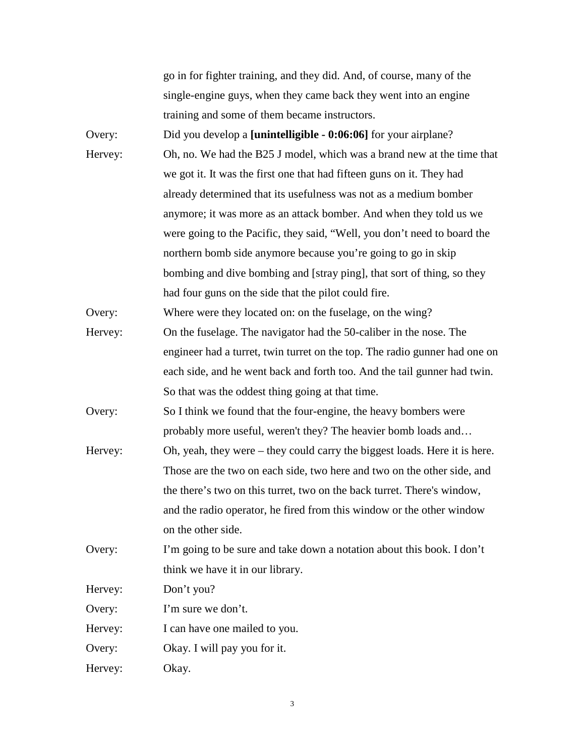go in for fighter training, and they did. And, of course, many of the single-engine guys, when they came back they went into an engine training and some of them became instructors.

Overy: Did you develop a **[unintelligible - 0:06:06]** for your airplane? Hervey: Oh, no. We had the B25 J model, which was a brand new at the time that we got it. It was the first one that had fifteen guns on it. They had already determined that its usefulness was not as a medium bomber anymore; it was more as an attack bomber. And when they told us we were going to the Pacific, they said, "Well, you don't need to board the northern bomb side anymore because you're going to go in skip bombing and dive bombing and [stray ping], that sort of thing, so they had four guns on the side that the pilot could fire.

Overy: Where were they located on: on the fuselage, on the wing?

Hervey: On the fuselage. The navigator had the 50-caliber in the nose. The engineer had a turret, twin turret on the top. The radio gunner had one on each side, and he went back and forth too. And the tail gunner had twin. So that was the oddest thing going at that time.

Overy: So I think we found that the four-engine, the heavy bombers were probably more useful, weren't they? The heavier bomb loads and…

Hervey: Oh, yeah, they were – they could carry the biggest loads. Here it is here. Those are the two on each side, two here and two on the other side, and the there's two on this turret, two on the back turret. There's window, and the radio operator, he fired from this window or the other window on the other side.

Overy: I'm going to be sure and take down a notation about this book. I don't think we have it in our library.

Hervey: Don't you?

Overy: I'm sure we don't.

Hervey: I can have one mailed to you.

Overy: Okay. I will pay you for it.

Hervey: Okay.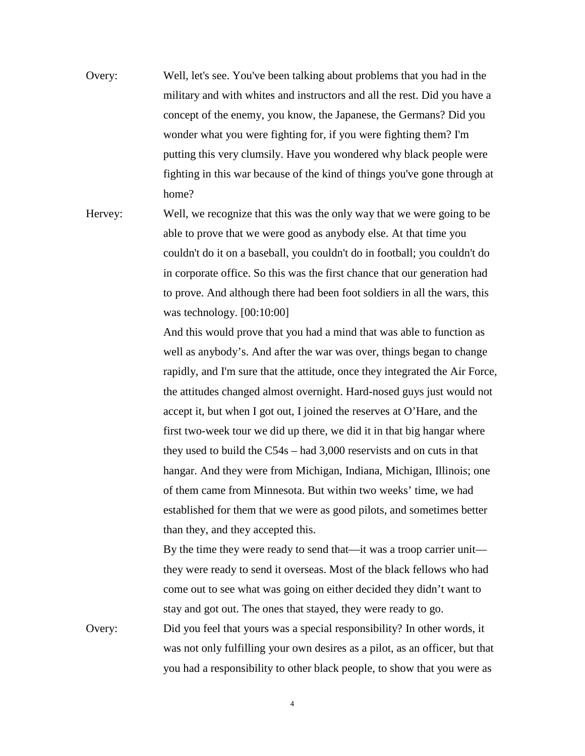- Overy: Well, let's see. You've been talking about problems that you had in the military and with whites and instructors and all the rest. Did you have a concept of the enemy, you know, the Japanese, the Germans? Did you wonder what you were fighting for, if you were fighting them? I'm putting this very clumsily. Have you wondered why black people were fighting in this war because of the kind of things you've gone through at home?
- Hervey: Well, we recognize that this was the only way that we were going to be able to prove that we were good as anybody else. At that time you couldn't do it on a baseball, you couldn't do in football; you couldn't do in corporate office. So this was the first chance that our generation had to prove. And although there had been foot soldiers in all the wars, this was technology. [00:10:00]

And this would prove that you had a mind that was able to function as well as anybody's. And after the war was over, things began to change rapidly, and I'm sure that the attitude, once they integrated the Air Force, the attitudes changed almost overnight. Hard-nosed guys just would not accept it, but when I got out, I joined the reserves at O'Hare, and the first two-week tour we did up there, we did it in that big hangar where they used to build the C54s – had 3,000 reservists and on cuts in that hangar. And they were from Michigan, Indiana, Michigan, Illinois; one of them came from Minnesota. But within two weeks' time, we had established for them that we were as good pilots, and sometimes better than they, and they accepted this.

By the time they were ready to send that—it was a troop carrier unit they were ready to send it overseas. Most of the black fellows who had come out to see what was going on either decided they didn't want to stay and got out. The ones that stayed, they were ready to go.

Overy: Did you feel that yours was a special responsibility? In other words, it was not only fulfilling your own desires as a pilot, as an officer, but that you had a responsibility to other black people, to show that you were as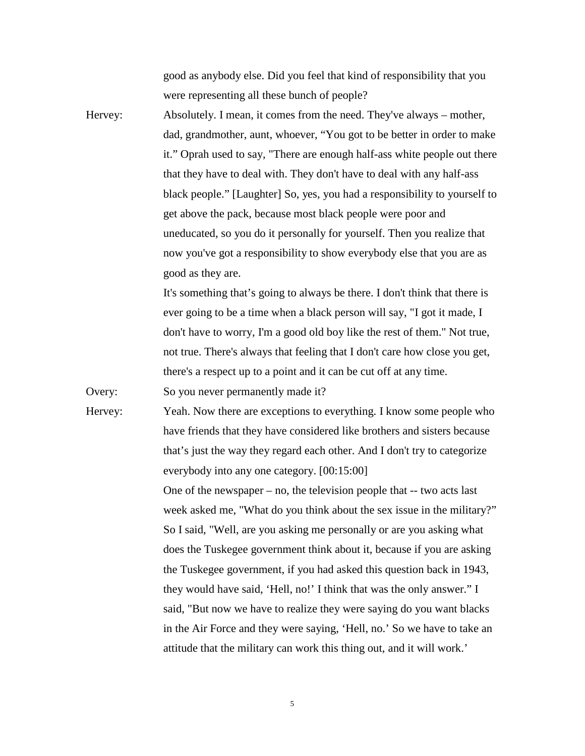good as anybody else. Did you feel that kind of responsibility that you were representing all these bunch of people?

Hervey: Absolutely. I mean, it comes from the need. They've always – mother, dad, grandmother, aunt, whoever, "You got to be better in order to make it." Oprah used to say, "There are enough half-ass white people out there that they have to deal with. They don't have to deal with any half-ass black people." [Laughter] So, yes, you had a responsibility to yourself to get above the pack, because most black people were poor and uneducated, so you do it personally for yourself. Then you realize that now you've got a responsibility to show everybody else that you are as good as they are.

> It's something that's going to always be there. I don't think that there is ever going to be a time when a black person will say, "I got it made, I don't have to worry, I'm a good old boy like the rest of them." Not true, not true. There's always that feeling that I don't care how close you get, there's a respect up to a point and it can be cut off at any time.

Overy: So you never permanently made it?

Hervey: Yeah. Now there are exceptions to everything. I know some people who have friends that they have considered like brothers and sisters because that's just the way they regard each other. And I don't try to categorize everybody into any one category. [00:15:00] One of the newspaper – no, the television people that -- two acts last

week asked me, "What do you think about the sex issue in the military?" So I said, "Well, are you asking me personally or are you asking what does the Tuskegee government think about it, because if you are asking the Tuskegee government, if you had asked this question back in 1943, they would have said, 'Hell, no!' I think that was the only answer." I said, "But now we have to realize they were saying do you want blacks in the Air Force and they were saying, 'Hell, no.' So we have to take an attitude that the military can work this thing out, and it will work.'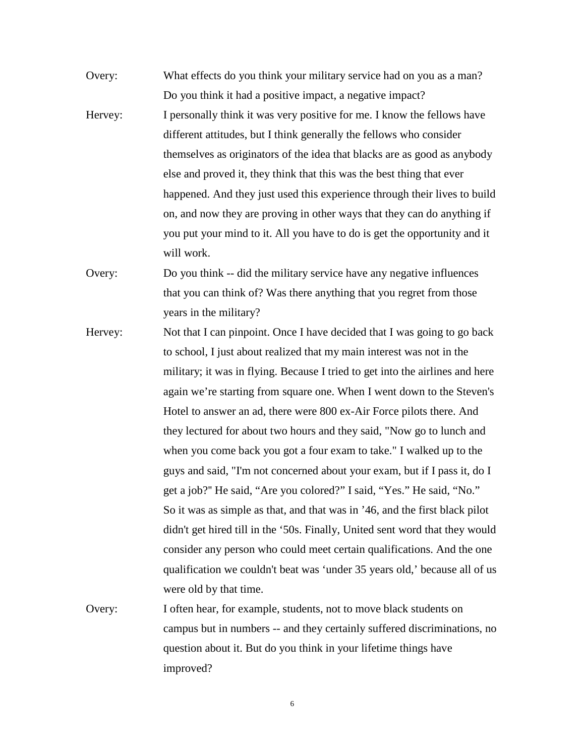Overy: What effects do you think your military service had on you as a man? Do you think it had a positive impact, a negative impact? Hervey: I personally think it was very positive for me. I know the fellows have different attitudes, but I think generally the fellows who consider themselves as originators of the idea that blacks are as good as anybody else and proved it, they think that this was the best thing that ever happened. And they just used this experience through their lives to build on, and now they are proving in other ways that they can do anything if you put your mind to it. All you have to do is get the opportunity and it will work.

Overy: Do you think -- did the military service have any negative influences that you can think of? Was there anything that you regret from those years in the military?

- Hervey: Not that I can pinpoint. Once I have decided that I was going to go back to school, I just about realized that my main interest was not in the military; it was in flying. Because I tried to get into the airlines and here again we're starting from square one. When I went down to the Steven's Hotel to answer an ad, there were 800 ex-Air Force pilots there. And they lectured for about two hours and they said, "Now go to lunch and when you come back you got a four exam to take." I walked up to the guys and said, "I'm not concerned about your exam, but if I pass it, do I get a job?'' He said, "Are you colored?" I said, "Yes." He said, "No." So it was as simple as that, and that was in '46, and the first black pilot didn't get hired till in the '50s. Finally, United sent word that they would consider any person who could meet certain qualifications. And the one qualification we couldn't beat was 'under 35 years old,' because all of us were old by that time.
- Overy: I often hear, for example, students, not to move black students on campus but in numbers -- and they certainly suffered discriminations, no question about it. But do you think in your lifetime things have improved?